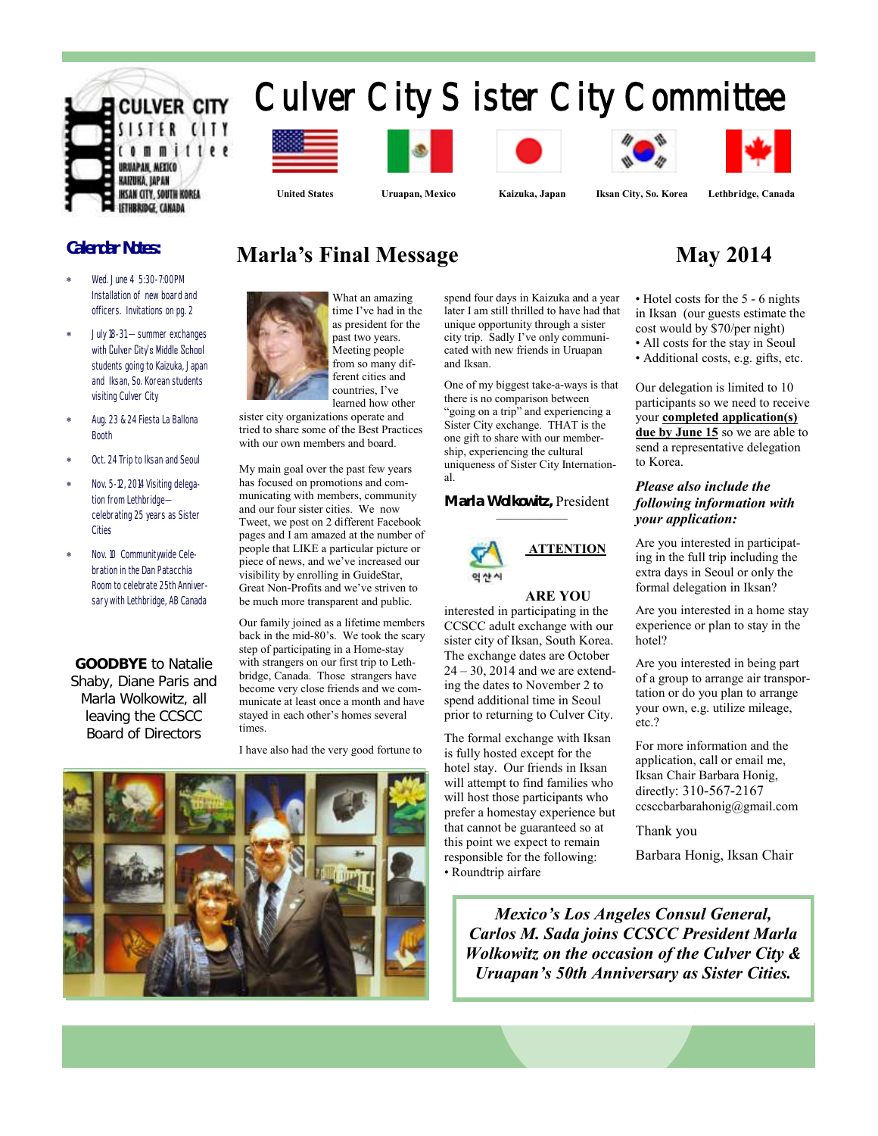

# Culver City Sister City Committee













 **United States Uruapan, Mexico Kaizuka, Japan Iksan City, So. Korea Lethbridge, Canada**

## **Calendar Notes:**

- Wed. June 4 5:30-7:00PM Installation of new board and officers. Invitations on pg. 2
- July 18-31 summer exchanges with Culver City's Middle School students going to Kaizuka, Japan and Iksan, So. Korean students visiting Culver City
- Aug. 23 & 24 Fiesta La Ballona Booth
- Oct. 24 Trip to Iksan and Seoul
- Nov. 5-12, 2014 Visiting delegation from Lethbridge celebrating 25 years as Sister Cities
- Nov. 10 Communitywide Celebration in the Dan Patacchia Room to celebrate 25th Anniversary with Lethbridge, AB Canada

**GOODBYE** to Natalie Shaby, Diane Paris and Marla Wolkowitz, all leaving the CCSCC Board of Directors

# **Marla's Final Message May 2014**



time I've had in the as president for the past two years. Meeting people from so many different cities and countries, I've learned how other

sister city organizations operate and tried to share some of the Best Practices with our own members and board.

My main goal over the past few years has focused on promotions and communicating with members, community and our four sister cities. We now Tweet, we post on 2 different Facebook pages and I am amazed at the number of people that LIKE a particular picture or piece of news, and we've increased our visibility by enrolling in GuideStar, Great Non-Profits and we've striven to be much more transparent and public.

Our family joined as a lifetime members back in the mid-80's. We took the scary step of participating in a Home-stay with strangers on our first trip to Lethbridge, Canada. Those strangers have become very close friends and we communicate at least once a month and have stayed in each other's homes several times.

I have also had the very good fortune to



spend four days in Kaizuka and a year later I am still thrilled to have had that unique opportunity through a sister city trip. Sadly I've only communicated with new friends in Uruapan and Iksan.

One of my biggest take-a-ways is that there is no comparison between "going on a trip" and experiencing a Sister City exchange. THAT is the one gift to share with our membership, experiencing the cultural uniqueness of Sister City International.

**Marla Wolkowitz,** President —————



#### **ARE YOU**

interested in participating in the CCSCC adult exchange with our sister city of Iksan, South Korea. The exchange dates are October 24 – 30, 2014 and we are extending the dates to November 2 to spend additional time in Seoul prior to returning to Culver City.

The formal exchange with Iksan is fully hosted except for the hotel stay. Our friends in Iksan will attempt to find families who will host those participants who prefer a homestay experience but that cannot be guaranteed so at this point we expect to remain responsible for the following: • Roundtrip airfare

- Hotel costs for the 5 6 nights in Iksan (our guests estimate the cost would by \$70/per night)
- All costs for the stay in Seoul
- Additional costs, e.g. gifts, etc.

Our delegation is limited to 10 participants so we need to receive your **completed application(s) due by June 15** so we are able to send a representative delegation to Korea.

#### *Please also include the following information with your application:*

Are you interested in participating in the full trip including the extra days in Seoul or only the formal delegation in Iksan?

Are you interested in a home stay experience or plan to stay in the hotel?

Are you interested in being part of a group to arrange air transportation or do you plan to arrange your own, e.g. utilize mileage, etc.?

For more information and the application, call or email me, Iksan Chair Barbara Honig, directly: 310-567-2167 ccsccbarbarahonig@gmail.com

Thank you

Barbara Honig, Iksan Chair

*Mexico's Los Angeles Consul General, Carlos M. Sada joins CCSCC President Marla Wolkowitz on the occasion of the Culver City & Uruapan's 50th Anniversary as Sister Cities.*